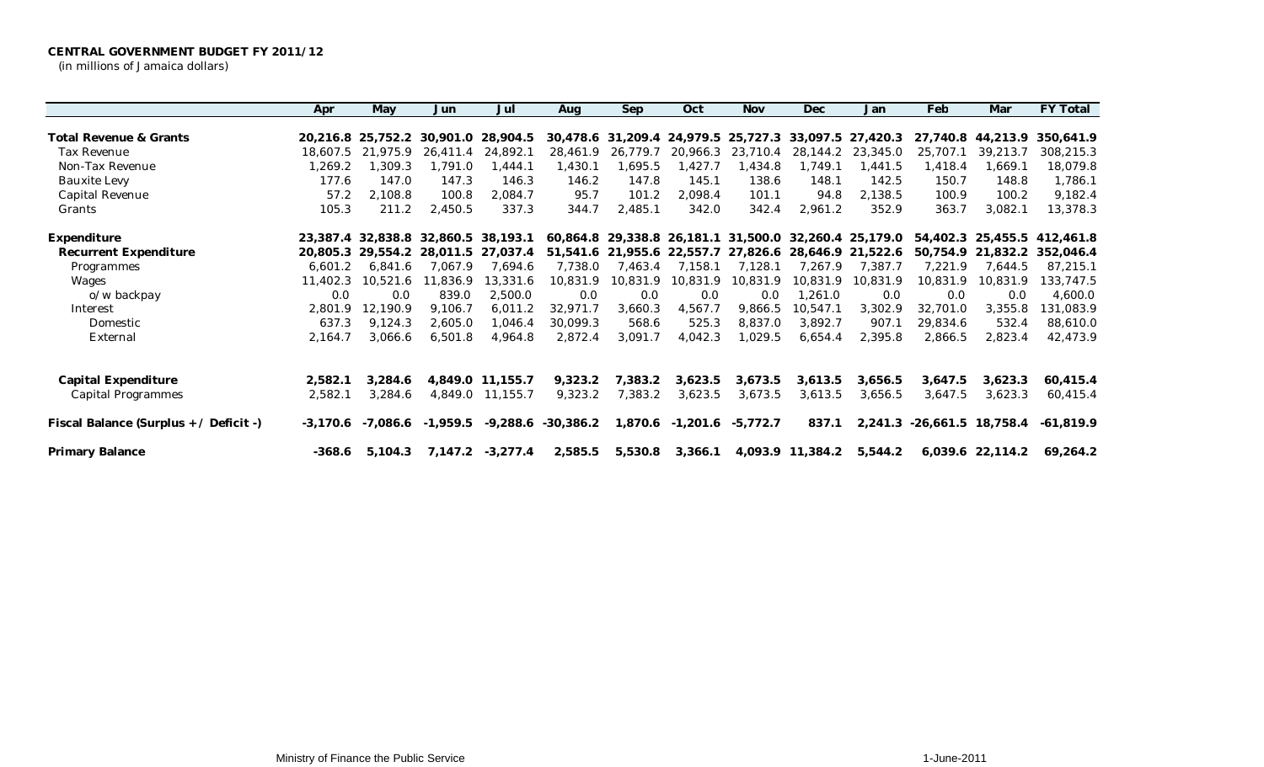|                                        | Apr        | May               | Jun                                 | Jul               | Aug       | Sep                        | Oct      | <b>Nov</b>                | Dec              | Jan                                                   | Feb                        | Mar               | FY Total                    |
|----------------------------------------|------------|-------------------|-------------------------------------|-------------------|-----------|----------------------------|----------|---------------------------|------------------|-------------------------------------------------------|----------------------------|-------------------|-----------------------------|
|                                        |            |                   |                                     |                   |           |                            |          |                           |                  |                                                       |                            |                   |                             |
| Total Revenue & Grants                 |            | 20.216.8 25.752.2 |                                     | 30,901.0 28,904.5 |           | 30,478.6 31,209.4 24,979.5 |          | 25,727.3                  |                  | 33,097.5 27,420.3                                     |                            | 27,740.8 44,213.9 | 350,641.9                   |
| Tax Revenue                            | 18,607.5   | 21.975.9          | 26,411.4                            | 24,892.1          | 28,461.9  | 26,779.7                   | 20,966.3 | 23,710.4                  | 28,144.2         | 23,345.0                                              | 25,707.1                   | 39,213.7          | 308,215.3                   |
| Non-Tax Revenue                        | 1,269.2    | 1,309.3           | .791.0 ا                            | 1,444.1           | 1,430.1   | .695.5                     | 1,427.7  | 1,434.8                   | 1,749.1          | 1,441.5                                               | 1,418.4                    | 1,669.1           | 18,079.8                    |
| <b>Bauxite Levy</b>                    | 177.6      | 147.0             | 147.3                               | 146.3             | 146.2     | 147.8                      | 145.1    | 138.6                     | 148.1            | 142.5                                                 | 150.7                      | 148.8             | 1,786.1                     |
| Capital Revenue                        | 57.2       | 2,108.8           | 100.8                               | 2,084.7           | 95.7      | 101.2                      | 2,098.4  | 101.1                     | 94.8             | 2,138.5                                               | 100.9                      | 100.2             | 9,182.4                     |
| Grants                                 | 105.3      | 211.2             | 2,450.5                             | 337.3             | 344.7     | 2,485.1                    | 342.0    | 342.4                     | 2,961.2          | 352.9                                                 | 363.7                      | 3,082.1           | 13,378.3                    |
| Expenditure                            |            |                   | 23.387.4 32.838.8 32.860.5 38.193.1 |                   |           |                            |          |                           |                  | 60,864.8 29,338.8 26,181.1 31,500.0 32,260.4 25,179.0 |                            |                   | 54,402.3 25,455.5 412,461.8 |
| Recurrent Expenditure                  |            | 20,805.3 29,554.2 | 28,011.5                            | 27,037.4          |           | 51,541.6 21,955.6 22,557.7 |          | 27,826.6                  |                  | 28,646.9 21,522.6                                     |                            | 50,754.9 21,832.2 | 352,046.4                   |
| Programmes                             | 6,601.2    | 6,841.6           | 7,067.9                             | 7,694.6           | 7,738.0   | 7,463.4                    | 7,158.1  | 7,128.1                   | 7,267.9          | 7,387.7                                               | 7,221.9                    | 7,644.5           | 87,215.1                    |
| Wages                                  | 11,402.3   | 10.521.6          | 11,836.9                            | 13,331.6          | 10,831.9  | 10,831.9                   | 10,831.9 | 10,831.9                  | 10,831.9         | 10,831.9                                              | 10,831.9                   | 10,831.9          | 133,747.5                   |
| o/w backpay                            | 0.0        | 0.0               | 839.0                               | 2,500.0           | 0.0       | 0.0                        | 0.0      | 0.0                       | 1,261.0          | 0.0                                                   | 0.0                        | 0.0               | 4,600.0                     |
| Interest                               | 2,801.9    | 12,190.9          | 9,106.7                             | 6,011.2           | 32,971.7  | 3,660.3                    | 4,567.7  | 9,866.5                   | 10,547.1         | 3,302.9                                               | 32,701.0                   | 3,355.8           | 131,083.9                   |
| Domestic                               | 637.3      | 9,124.3           | 2,605.0                             | 1,046.4           | 30,099.3  | 568.6                      | 525.3    | 8,837.0                   | 3,892.7          | 907.1                                                 | 29,834.6                   | 532.4             | 88,610.0                    |
| External                               | 2,164.7    | 3,066.6           | 6,501.8                             | 4,964.8           | 2,872.4   | 3,091.7                    | 4,042.3  | 1,029.5                   | 6,654.4          | 2,395.8                                               | 2,866.5                    | 2,823.4           | 42,473.9                    |
|                                        |            |                   |                                     |                   |           |                            |          |                           |                  |                                                       |                            |                   |                             |
| Capital Expenditure                    | 2,582.1    | 3,284.6           |                                     | 4,849.0 11,155.7  | 9,323.2   | 7,383.2                    | 3,623.5  | 3,673.5                   | 3,613.5          | 3,656.5                                               | 3,647.5                    | 3,623.3           | 60,415.4                    |
| <b>Capital Programmes</b>              | 2,582.1    | 3,284.6           |                                     | 4,849.0 11,155.7  | 9,323.2   | 7,383.2                    | 3,623.5  | 3,673.5                   | 3,613.5          | 3,656.5                                               | 3,647.5                    | 3,623.3           | 60,415.4                    |
| Fiscal Balance (Surplus + / Deficit -) | $-3,170.6$ | -7,086.6          | $-1,959.5$                          | $-9,288.6$        | -30,386.2 |                            |          | 1,870.6 -1,201.6 -5,772.7 | 837.1            |                                                       | 2,241.3 -26,661.5 18,758.4 |                   | -61.819.9                   |
| Primary Balance                        | $-368.6$   | 5,104.3           |                                     | 7,147.2 -3,277.4  | 2,585.5   | 5,530.8                    | 3,366.1  |                           | 4,093.9 11,384.2 | 5,544.2                                               |                            | 6,039.6 22,114.2  | 69,264.2                    |